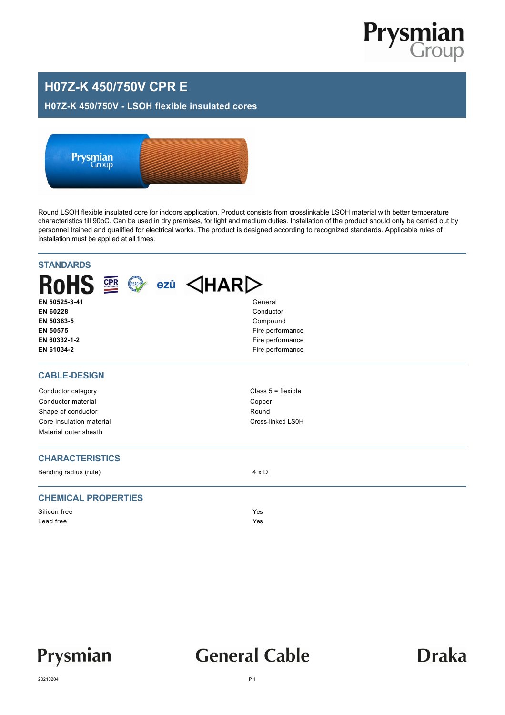

### **H07Z-K 450/750V CPR E**

#### **H07Z-K 450/750V - LSOH flexible insulated cores**



Round LSOH flexible insulated core for indoors application. Product consists from crosslinkable LSOH material with better temperature characteristics till 90oC. Can be used in dry premises, for light and medium duties. Installation of the product should only be carried out by personnel trained and qualified for electrical works. The product is designed according to recognized standards. Applicable rules of installation must be applied at all times.

| <b>STANDARDS</b>                          |                                  |           |  |  |  |
|-------------------------------------------|----------------------------------|-----------|--|--|--|
| <b>RoHS</b><br><b>CPR</b><br>REACH<br>ezū | $\triangle$ HAR $\triangleright$ |           |  |  |  |
| EN 50525-3-41                             | General                          | Conductor |  |  |  |
| EN 60228                                  |                                  |           |  |  |  |
| EN 50363-5                                | Compound                         |           |  |  |  |
| EN 50575                                  | Fire performance                 |           |  |  |  |
| EN 60332-1-2                              | Fire performance                 |           |  |  |  |
| EN 61034-2                                | Fire performance                 |           |  |  |  |
| <b>CABLE-DESIGN</b>                       |                                  |           |  |  |  |
| Conductor category                        | Class $5 =$ flexible             |           |  |  |  |
| Conductor material                        | Copper                           |           |  |  |  |
| Shape of conductor                        | Round                            |           |  |  |  |
| Core insulation material                  | Cross-linked LS0H                |           |  |  |  |
| Material outer sheath                     |                                  |           |  |  |  |
| <b>CHARACTERISTICS</b>                    |                                  |           |  |  |  |
| Bending radius (rule)                     | $4 \times D$                     |           |  |  |  |
| <b>CHEMICAL PROPERTIES</b>                |                                  |           |  |  |  |
| Silicon free                              | Yes                              |           |  |  |  |
| Lead free                                 | Yes                              |           |  |  |  |
|                                           |                                  |           |  |  |  |



## **General Cable**